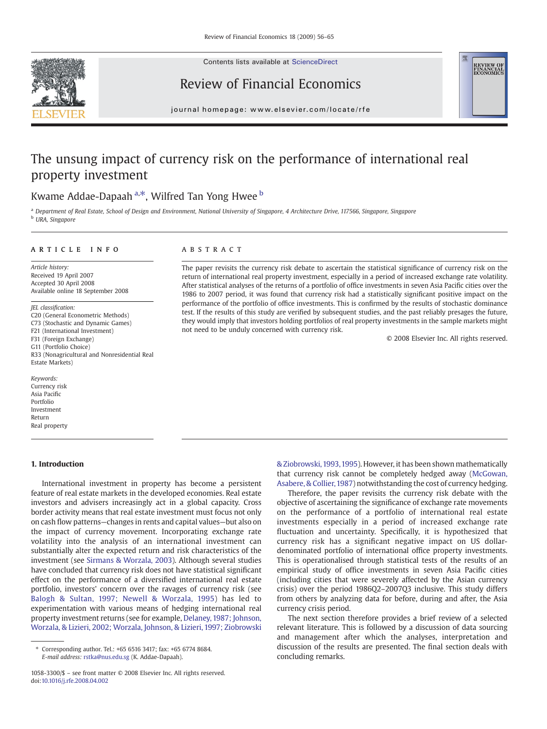

Contents lists available at ScienceDirect

## Review of Financial Economics



journal homepage: www.elsevier.com/locate/rfe  $j$  or expressed expressed in the commutation  $\alpha$  is even  $\alpha$  that  $\alpha$  is even  $\alpha$ 

## The unsung impact of currency risk on the performance of international real property investment

## Kwame Addae-Dapaah <sup>a,\*</sup>, Wilfred Tan Yong Hwee <sup>b</sup>

<sup>a</sup> Department of Real Estate, School of Design and Environment, National University of Singapore, 4 Architecture Drive, 117566, Singapore, Singapore **b** URA, Singapore

#### article info abstract

Article history: Received 19 April 2007 Accepted 30 April 2008 Available online 18 September 2008

JEL classification: C20 (General Econometric Methods) C73 (Stochastic and Dynamic Games) F21 (International Investment) F31 (Foreign Exchange) G11 (Portfolio Choice) R33 (Nonagricultural and Nonresidential Real Estate Markets)

Keywords: Currency risk Asia Pacific Portfolio Investment Return Real property

### 1. Introduction

International investment in property has become a persistent feature of real estate markets in the developed economies. Real estate investors and advisers increasingly act in a global capacity. Cross border activity means that real estate investment must focus not only on cash flow patterns—changes in rents and capital values—but also on the impact of currency movement. Incorporating exchange rate volatility into the analysis of an international investment can substantially alter the expected return and risk characteristics of the investment (see [Sirmans & Worzala, 2003](#page--1-0)). Although several studies have concluded that currency risk does not have statistical significant effect on the performance of a diversified international real estate portfolio, investors' concern over the ravages of currency risk (see [Balogh & Sultan, 1997; Newell & Worzala, 1995\)](#page--1-0) has led to experimentation with various means of hedging international real property investment returns (see for example, [Delaney, 1987; Johnson,](#page--1-0) [Worzala, & Lizieri, 2002; Worzala, Johnson, & Lizieri, 1997; Ziobrowski](#page--1-0)

The paper revisits the currency risk debate to ascertain the statistical significance of currency risk on the return of international real property investment, especially in a period of increased exchange rate volatility. After statistical analyses of the returns of a portfolio of office investments in seven Asia Pacific cities over the 1986 to 2007 period, it was found that currency risk had a statistically significant positive impact on the performance of the portfolio of office investments. This is confirmed by the results of stochastic dominance test. If the results of this study are verified by subsequent studies, and the past reliably presages the future, they would imply that investors holding portfolios of real property investments in the sample markets might not need to be unduly concerned with currency risk.

© 2008 Elsevier Inc. All rights reserved.

[& Ziobrowski,1993,1995\)](#page--1-0). However, it has been shown mathematically that currency risk cannot be completely hedged away [\(McGowan,](#page--1-0) [Asabere, & Collier,1987](#page--1-0)) notwithstanding the cost of currency hedging.

Therefore, the paper revisits the currency risk debate with the objective of ascertaining the significance of exchange rate movements on the performance of a portfolio of international real estate investments especially in a period of increased exchange rate fluctuation and uncertainty. Specifically, it is hypothesized that currency risk has a significant negative impact on US dollardenominated portfolio of international office property investments. This is operationalised through statistical tests of the results of an empirical study of office investments in seven Asia Pacific cities (including cities that were severely affected by the Asian currency crisis) over the period 1986Q2–2007Q3 inclusive. This study differs from others by analyzing data for before, during and after, the Asia currency crisis period.

The next section therefore provides a brief review of a selected relevant literature. This is followed by a discussion of data sourcing and management after which the analyses, interpretation and discussion of the results are presented. The final section deals with concluding remarks.

<sup>⁎</sup> Corresponding author. Tel.: +65 6516 3417; fax: +65 6774 8684. E-mail address: [rstka@nus.edu.sg](mailto:rstka@nus.edu.sg) (K. Addae-Dapaah).

<sup>1058-3300/\$</sup> – see front matter © 2008 Elsevier Inc. All rights reserved. doi[:10.1016/j.rfe.2008.04.002](http://dx.doi.org/10.1016/j.rfe.2008.04.002)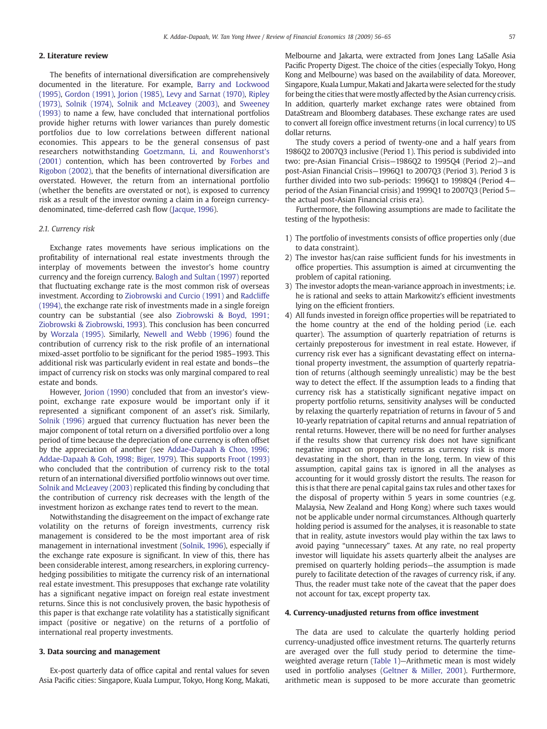#### 2. Literature review

The benefits of international diversification are comprehensively documented in the literature. For example, [Barry and Lockwood](#page--1-0) [\(1995\)](#page--1-0), [Gordon \(1991\),](#page--1-0) [Jorion \(1985\),](#page--1-0) [Levy and Sarnat \(1970\)](#page--1-0), [Ripley](#page--1-0) [\(1973\),](#page--1-0) [Solnik \(1974\),](#page--1-0) [Solnik and McLeavey \(2003\)](#page--1-0), and [Sweeney](#page--1-0) [\(1993\)](#page--1-0) to name a few, have concluded that international portfolios provide higher returns with lower variances than purely domestic portfolios due to low correlations between different national economies. This appears to be the general consensus of past researchers notwithstanding [Goetzmann, Li, and Rouwenhorst's](#page--1-0) [\(2001\)](#page--1-0) contention, which has been controverted by [Forbes and](#page--1-0) [Rigobon \(2002\)](#page--1-0), that the benefits of international diversification are overstated. However, the return from an international portfolio (whether the benefits are overstated or not), is exposed to currency risk as a result of the investor owning a claim in a foreign currencydenominated, time-deferred cash flow ([Jacque, 1996\)](#page--1-0).

#### 2.1. Currency risk

Exchange rates movements have serious implications on the profitability of international real estate investments through the interplay of movements between the investor's home country currency and the foreign currency. [Balogh and Sultan \(1997\)](#page--1-0) reported that fluctuating exchange rate is the most common risk of overseas investment. According to [Ziobrowski and Curcio \(1991\)](#page--1-0) and [Radcliffe](#page--1-0) [\(1994\)](#page--1-0), the exchange rate risk of investments made in a single foreign country can be substantial (see also [Ziobrowski & Boyd, 1991;](#page--1-0) [Ziobrowski & Ziobrowski, 1993](#page--1-0)). This conclusion has been concurred by [Worzala \(1995\).](#page--1-0) Similarly, [Newell and Webb \(1996\)](#page--1-0) found the contribution of currency risk to the risk profile of an international mixed-asset portfolio to be significant for the period 1985–1993. This additional risk was particularly evident in real estate and bonds—the impact of currency risk on stocks was only marginal compared to real estate and bonds.

However, [Jorion \(1990\)](#page--1-0) concluded that from an investor's viewpoint, exchange rate exposure would be important only if it represented a significant component of an asset's risk. Similarly, [Solnik \(1996\)](#page--1-0) argued that currency fluctuation has never been the major component of total return on a diversified portfolio over a long period of time because the depreciation of one currency is often offset by the appreciation of another (see [Addae-Dapaah & Choo, 1996;](#page--1-0) [Addae-Dapaah & Goh, 1998; Biger, 1979\)](#page--1-0). This supports [Froot \(1993\)](#page--1-0) who concluded that the contribution of currency risk to the total return of an international diversified portfolio winnows out over time. [Solnik and McLeavey \(2003\)](#page--1-0) replicated this finding by concluding that the contribution of currency risk decreases with the length of the investment horizon as exchange rates tend to revert to the mean.

Notwithstanding the disagreement on the impact of exchange rate volatility on the returns of foreign investments, currency risk management is considered to be the most important area of risk management in international investment ([Solnik, 1996](#page--1-0)), especially if the exchange rate exposure is significant. In view of this, there has been considerable interest, among researchers, in exploring currencyhedging possibilities to mitigate the currency risk of an international real estate investment. This presupposes that exchange rate volatility has a significant negative impact on foreign real estate investment returns. Since this is not conclusively proven, the basic hypothesis of this paper is that exchange rate volatility has a statistically significant impact (positive or negative) on the returns of a portfolio of international real property investments.

#### 3. Data sourcing and management

Ex-post quarterly data of office capital and rental values for seven Asia Pacific cities: Singapore, Kuala Lumpur, Tokyo, Hong Kong, Makati, Melbourne and Jakarta, were extracted from Jones Lang LaSalle Asia Pacific Property Digest. The choice of the cities (especially Tokyo, Hong Kong and Melbourne) was based on the availability of data. Moreover, Singapore, Kuala Lumpur, Makati and Jakarta were selected for the study for being the cities that were mostly affected by the Asian currency crisis. In addition, quarterly market exchange rates were obtained from DataStream and Bloomberg databases. These exchange rates are used to convert all foreign office investment returns (in local currency) to US dollar returns.

The study covers a period of twenty-one and a half years from 1986Q2 to 2007Q3 inclusive (Period 1). This period is subdivided into two: pre-Asian Financial Crisis—1986Q2 to 1995Q4 (Period 2)—and post-Asian Financial Crisis—1996Q1 to 2007Q3 (Period 3). Period 3 is further divided into two sub-periods: 1996Q1 to 1998Q4 (Period 4 period of the Asian Financial crisis) and 1999Q1 to 2007Q3 (Period 5 the actual post-Asian Financial crisis era).

Furthermore, the following assumptions are made to facilitate the testing of the hypothesis:

- 1) The portfolio of investments consists of office properties only (due to data constraint).
- 2) The investor has/can raise sufficient funds for his investments in office properties. This assumption is aimed at circumventing the problem of capital rationing.
- 3) The investor adopts the mean-variance approach in investments; i.e. he is rational and seeks to attain Markowitz's efficient investments lying on the efficient frontiers.
- 4) All funds invested in foreign office properties will be repatriated to the home country at the end of the holding period (i.e. each quarter). The assumption of quarterly repatriation of returns is certainly preposterous for investment in real estate. However, if currency risk ever has a significant devastating effect on international property investment, the assumption of quarterly repatriation of returns (although seemingly unrealistic) may be the best way to detect the effect. If the assumption leads to a finding that currency risk has a statistically significant negative impact on property portfolio returns, sensitivity analyses will be conducted by relaxing the quarterly repatriation of returns in favour of 5 and 10-yearly repatriation of capital returns and annual repatriation of rental returns. However, there will be no need for further analyses if the results show that currency risk does not have significant negative impact on property returns as currency risk is more devastating in the short, than in the long, term. In view of this assumption, capital gains tax is ignored in all the analyses as accounting for it would grossly distort the results. The reason for this is that there are penal capital gains tax rules and other taxes for the disposal of property within 5 years in some countries (e.g. Malaysia, New Zealand and Hong Kong) where such taxes would not be applicable under normal circumstances. Although quarterly holding period is assumed for the analyses, it is reasonable to state that in reality, astute investors would play within the tax laws to avoid paying "unnecessary" taxes. At any rate, no real property investor will liquidate his assets quarterly albeit the analyses are premised on quarterly holding periods—the assumption is made purely to facilitate detection of the ravages of currency risk, if any. Thus, the reader must take note of the caveat that the paper does not account for tax, except property tax.

#### 4. Currency-unadjusted returns from office investment

The data are used to calculate the quarterly holding period currency-unadjusted office investment returns. The quarterly returns are averaged over the full study period to determine the timeweighted average return ([Table 1](#page--1-0))—Arithmetic mean is most widely used in portfolio analyses [\(Geltner & Miller, 2001\)](#page--1-0). Furthermore, arithmetic mean is supposed to be more accurate than geometric